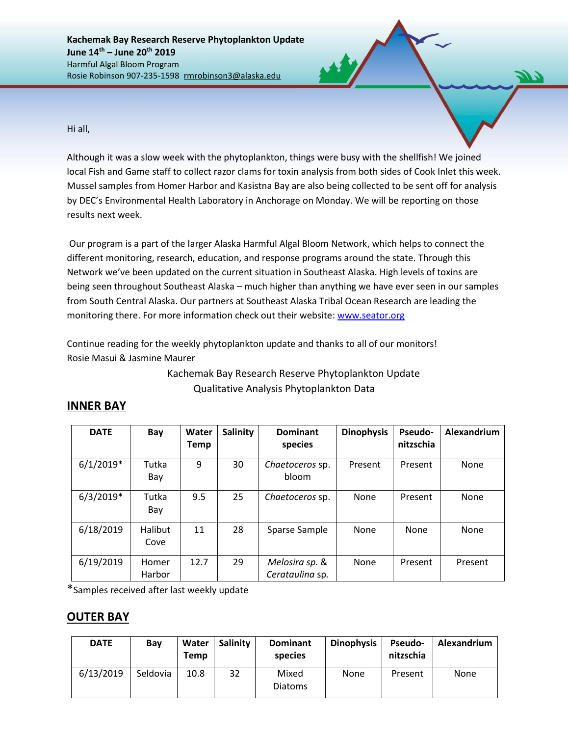**Kachemak Bay Research Reserve Phytoplankton Update June 14th – June 20th 2019** Harmful Algal Bloom Program Rosie Robinson 907-235-1598 rmrobinson3@alaska.edu

Hi all,

Although it was a slow week with the phytoplankton, things were busy with the shellfish! We joined local Fish and Game staff to collect razor clams for toxin analysis from both sides of Cook Inlet this week. Mussel samples from Homer Harbor and Kasistna Bay are also being collected to be sent off for analysis by DEC's Environmental Health Laboratory in Anchorage on Monday. We will be reporting on those results next week.

Our program is a part of the larger Alaska Harmful Algal Bloom Network, which helps to connect the different monitoring, research, education, and response programs around the state. Through this Network we've been updated on the current situation in Southeast Alaska. High levels of toxins are being seen throughout Southeast Alaska – much higher than anything we have ever seen in our samples from South Central Alaska. Our partners at Southeast Alaska Tribal Ocean Research are leading the monitoring there. For more information check out their website: [www.seator.org](http://www.seator.org/)

Continue reading for the weekly phytoplankton update and thanks to all of our monitors! Rosie Masui & Jasmine Maurer

> Kachemak Bay Research Reserve Phytoplankton Update Qualitative Analysis Phytoplankton Data

## **INNER BAY**

| <b>DATE</b> | Bay                    | Water<br>Temp | <b>Salinity</b> | <b>Dominant</b><br>species        | <b>Dinophysis</b> | <b>Pseudo-</b><br>nitzschia | Alexandrium |
|-------------|------------------------|---------------|-----------------|-----------------------------------|-------------------|-----------------------------|-------------|
| $6/1/2019*$ | Tutka<br>Bay           | 9             | 30              | Chaetoceros sp.<br>bloom          | Present           | Present                     | None        |
| $6/3/2019*$ | Tutka<br>Bay           | 9.5           | 25              | Chaetoceros sp.                   | None              | Present                     | None        |
| 6/18/2019   | <b>Halibut</b><br>Cove | 11            | 28              | Sparse Sample                     | None              | None                        | None        |
| 6/19/2019   | Homer<br>Harbor        | 12.7          | 29              | Melosira sp. &<br>Cerataulina sp. | None              | Present                     | Present     |

\*Samples received after last weekly update

## **OUTER BAY**

| <b>DATE</b> | Bay      | Water<br>Temp | Salinity | <b>Dominant</b><br>species | <b>Dinophysis</b> | <b>Pseudo-</b><br>nitzschia | <b>Alexandrium</b> |  |
|-------------|----------|---------------|----------|----------------------------|-------------------|-----------------------------|--------------------|--|
| 6/13/2019   | Seldovia | 10.8          | 32       | Mixed<br><b>Diatoms</b>    | None              | Present                     | None               |  |